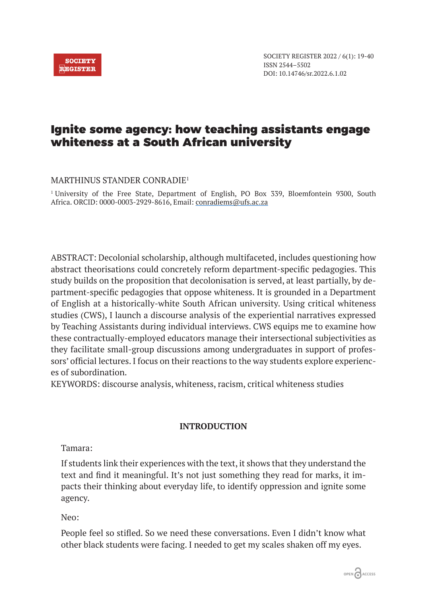# Ignite some agency: how teaching assistants engage whiteness at a South African university

# MARTHINUS STANDER CONRADIE1

1 University of the Free State, Department of English, PO Box 339, Bloemfontein 9300, South Africa. ORCID: 0000-0003-2929-8616, Email: conradiems@ufs.ac.za

ABSTRACT: Decolonial scholarship, although multifaceted, includes questioning how abstract theorisations could concretely reform department-specific pedagogies. This study builds on the proposition that decolonisation is served, at least partially, by department-specific pedagogies that oppose whiteness. It is grounded in a Department of English at a historically-white South African university. Using critical whiteness studies (CWS), I launch a discourse analysis of the experiential narratives expressed by Teaching Assistants during individual interviews. CWS equips me to examine how these contractually-employed educators manage their intersectional subjectivities as they facilitate small-group discussions among undergraduates in support of professors' official lectures. I focus on their reactions to the way students explore experiences of subordination.

KEYWORDS: discourse analysis, whiteness, racism, critical whiteness studies

# **INTRODUCTION**

Tamara:

If students link their experiences with the text, it shows that they understand the text and find it meaningful. It's not just something they read for marks, it impacts their thinking about everyday life, to identify oppression and ignite some agency.

Neo:

People feel so stifled. So we need these conversations. Even I didn't know what other black students were facing. I needed to get my scales shaken off my eyes.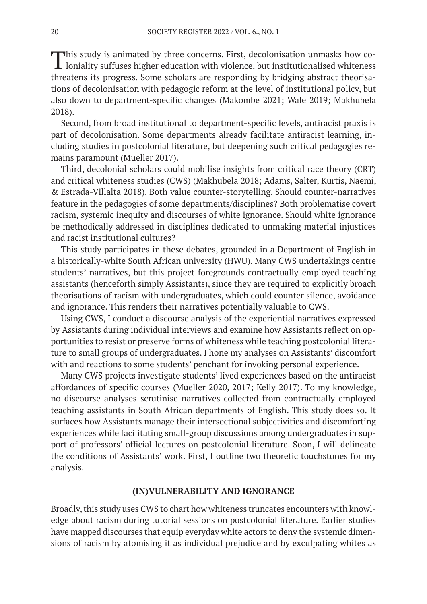This study is animated by three concerns. First, decolonisation unmasks how co-**L** loniality suffuses higher education with violence, but institutionalised whiteness threatens its progress. Some scholars are responding by bridging abstract theorisations of decolonisation with pedagogic reform at the level of institutional policy, but also down to department-specific changes (Makombe 2021; Wale 2019; Makhubela 2018).

Second, from broad institutional to department-specific levels, antiracist praxis is part of decolonisation. Some departments already facilitate antiracist learning, including studies in postcolonial literature, but deepening such critical pedagogies remains paramount (Mueller 2017).

Third, decolonial scholars could mobilise insights from critical race theory (CRT) and critical whiteness studies (CWS) (Makhubela 2018; Adams, Salter, Kurtis, Naemi, & Estrada-Villalta 2018). Both value counter-storytelling. Should counter-narratives feature in the pedagogies of some departments/disciplines? Both problematise covert racism, systemic inequity and discourses of white ignorance. Should white ignorance be methodically addressed in disciplines dedicated to unmaking material injustices and racist institutional cultures?

This study participates in these debates, grounded in a Department of English in a historically-white South African university (HWU). Many CWS undertakings centre students' narratives, but this project foregrounds contractually-employed teaching assistants (henceforth simply Assistants), since they are required to explicitly broach theorisations of racism with undergraduates, which could counter silence, avoidance and ignorance. This renders their narratives potentially valuable to CWS.

Using CWS, I conduct a discourse analysis of the experiential narratives expressed by Assistants during individual interviews and examine how Assistants reflect on opportunities to resist or preserve forms of whiteness while teaching postcolonial literature to small groups of undergraduates. I hone my analyses on Assistants' discomfort with and reactions to some students' penchant for invoking personal experience.

Many CWS projects investigate students' lived experiences based on the antiracist affordances of specific courses (Mueller 2020, 2017; Kelly 2017). To my knowledge, no discourse analyses scrutinise narratives collected from contractually-employed teaching assistants in South African departments of English. This study does so. It surfaces how Assistants manage their intersectional subjectivities and discomforting experiences while facilitating small-group discussions among undergraduates in support of professors' official lectures on postcolonial literature. Soon, I will delineate the conditions of Assistants' work. First, I outline two theoretic touchstones for my analysis.

#### **(IN)VULNERABILITY AND IGNORANCE**

Broadly, this study uses CWS to chart how whiteness truncates encounters with knowledge about racism during tutorial sessions on postcolonial literature. Earlier studies have mapped discourses that equip everyday white actors to deny the systemic dimensions of racism by atomising it as individual prejudice and by exculpating whites as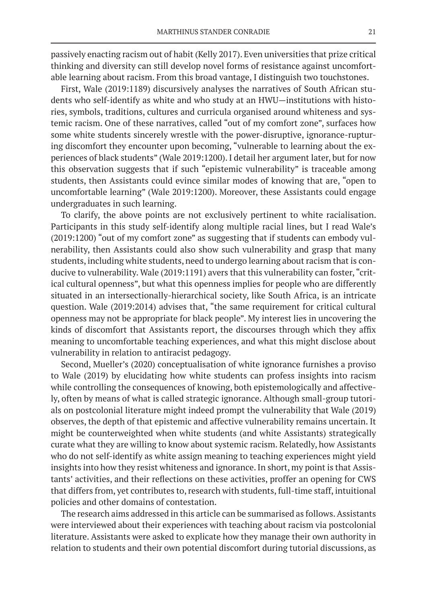passively enacting racism out of habit (Kelly 2017). Even universities that prize critical thinking and diversity can still develop novel forms of resistance against uncomfortable learning about racism. From this broad vantage, I distinguish two touchstones.

First, Wale (2019:1189) discursively analyses the narratives of South African students who self-identify as white and who study at an HWU—institutions with histories, symbols, traditions, cultures and curricula organised around whiteness and systemic racism. One of these narratives, called "out of my comfort zone", surfaces how some white students sincerely wrestle with the power-disruptive, ignorance-rupturing discomfort they encounter upon becoming, "vulnerable to learning about the experiences of black students" (Wale 2019:1200). I detail her argument later, but for now this observation suggests that if such "epistemic vulnerability" is traceable among students, then Assistants could evince similar modes of knowing that are, "open to uncomfortable learning" (Wale 2019:1200). Moreover, these Assistants could engage undergraduates in such learning.

To clarify, the above points are not exclusively pertinent to white racialisation. Participants in this study self-identify along multiple racial lines, but I read Wale's (2019:1200) "out of my comfort zone" as suggesting that if students can embody vulnerability, then Assistants could also show such vulnerability and grasp that many students, including white students, need to undergo learning about racism that is conducive to vulnerability. Wale (2019:1191) avers that this vulnerability can foster, "critical cultural openness", but what this openness implies for people who are differently situated in an intersectionally-hierarchical society, like South Africa, is an intricate question. Wale (2019:2014) advises that, "the same requirement for critical cultural openness may not be appropriate for black people". My interest lies in uncovering the kinds of discomfort that Assistants report, the discourses through which they affix meaning to uncomfortable teaching experiences, and what this might disclose about vulnerability in relation to antiracist pedagogy.

Second, Mueller's (2020) conceptualisation of white ignorance furnishes a proviso to Wale (2019) by elucidating how white students can profess insights into racism while controlling the consequences of knowing, both epistemologically and affectively, often by means of what is called strategic ignorance. Although small-group tutorials on postcolonial literature might indeed prompt the vulnerability that Wale (2019) observes, the depth of that epistemic and affective vulnerability remains uncertain. It might be counterweighted when white students (and white Assistants) strategically curate what they are willing to know about systemic racism. Relatedly, how Assistants who do not self-identify as white assign meaning to teaching experiences might yield insights into how they resist whiteness and ignorance. In short, my point is that Assistants' activities, and their reflections on these activities, proffer an opening for CWS that differs from, yet contributes to, research with students, full-time staff, intuitional policies and other domains of contestation.

The research aims addressed in this article can be summarised as follows. Assistants were interviewed about their experiences with teaching about racism via postcolonial literature. Assistants were asked to explicate how they manage their own authority in relation to students and their own potential discomfort during tutorial discussions, as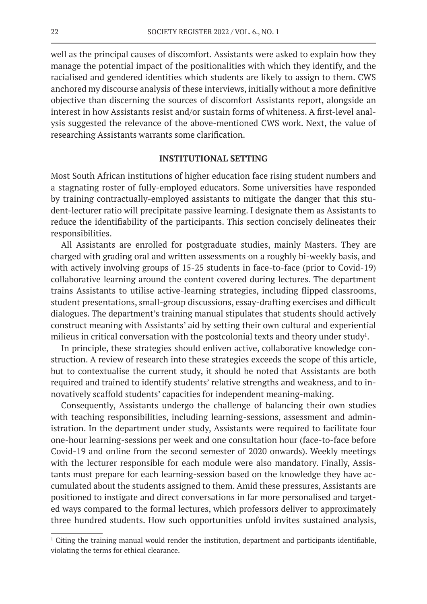well as the principal causes of discomfort. Assistants were asked to explain how they manage the potential impact of the positionalities with which they identify, and the racialised and gendered identities which students are likely to assign to them. CWS anchored my discourse analysis of these interviews, initially without a more definitive objective than discerning the sources of discomfort Assistants report, alongside an interest in how Assistants resist and/or sustain forms of whiteness. A first-level analysis suggested the relevance of the above-mentioned CWS work. Next, the value of researching Assistants warrants some clarification.

## **INSTITUTIONAL SETTING**

Most South African institutions of higher education face rising student numbers and a stagnating roster of fully-employed educators. Some universities have responded by training contractually-employed assistants to mitigate the danger that this student-lecturer ratio will precipitate passive learning. I designate them as Assistants to reduce the identifiability of the participants. This section concisely delineates their responsibilities.

All Assistants are enrolled for postgraduate studies, mainly Masters. They are charged with grading oral and written assessments on a roughly bi-weekly basis, and with actively involving groups of 15-25 students in face-to-face (prior to Covid-19) collaborative learning around the content covered during lectures. The department trains Assistants to utilise active-learning strategies, including flipped classrooms, student presentations, small-group discussions, essay-drafting exercises and difficult dialogues. The department's training manual stipulates that students should actively construct meaning with Assistants' aid by setting their own cultural and experiential milieus in critical conversation with the postcolonial texts and theory under study<sup>1</sup>.

In principle, these strategies should enliven active, collaborative knowledge construction. A review of research into these strategies exceeds the scope of this article, but to contextualise the current study, it should be noted that Assistants are both required and trained to identify students' relative strengths and weakness, and to innovatively scaffold students' capacities for independent meaning-making.

Consequently, Assistants undergo the challenge of balancing their own studies with teaching responsibilities, including learning-sessions, assessment and administration. In the department under study, Assistants were required to facilitate four one-hour learning-sessions per week and one consultation hour (face-to-face before Covid-19 and online from the second semester of 2020 onwards). Weekly meetings with the lecturer responsible for each module were also mandatory. Finally, Assistants must prepare for each learning-session based on the knowledge they have accumulated about the students assigned to them. Amid these pressures, Assistants are positioned to instigate and direct conversations in far more personalised and targeted ways compared to the formal lectures, which professors deliver to approximately three hundred students. How such opportunities unfold invites sustained analysis,

<sup>&</sup>lt;sup>1</sup> Citing the training manual would render the institution, department and participants identifiable, violating the terms for ethical clearance.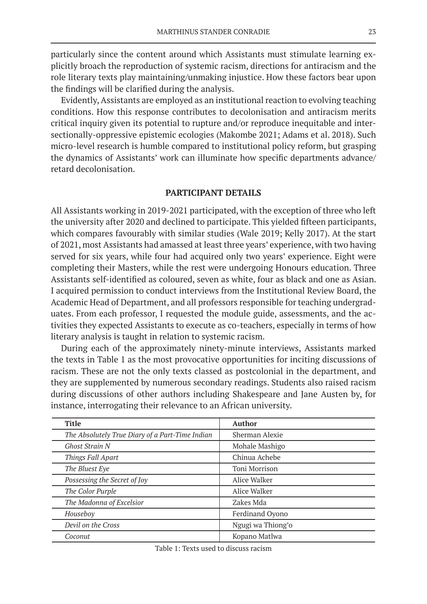particularly since the content around which Assistants must stimulate learning explicitly broach the reproduction of systemic racism, directions for antiracism and the role literary texts play maintaining/unmaking injustice. How these factors bear upon the findings will be clarified during the analysis.

Evidently, Assistants are employed as an institutional reaction to evolving teaching conditions. How this response contributes to decolonisation and antiracism merits critical inquiry given its potential to rupture and/or reproduce inequitable and intersectionally-oppressive epistemic ecologies (Makombe 2021; Adams et al. 2018). Such micro-level research is humble compared to institutional policy reform, but grasping the dynamics of Assistants' work can illuminate how specific departments advance/ retard decolonisation.

# **PARTICIPANT DETAILS**

All Assistants working in 2019-2021 participated, with the exception of three who left the university after 2020 and declined to participate. This yielded fifteen participants, which compares favourably with similar studies (Wale 2019; Kelly 2017). At the start of 2021, most Assistants had amassed at least three years' experience, with two having served for six years, while four had acquired only two years' experience. Eight were completing their Masters, while the rest were undergoing Honours education. Three Assistants self-identified as coloured, seven as white, four as black and one as Asian. I acquired permission to conduct interviews from the Institutional Review Board, the Academic Head of Department, and all professors responsible for teaching undergraduates. From each professor, I requested the module guide, assessments, and the activities they expected Assistants to execute as co-teachers, especially in terms of how literary analysis is taught in relation to systemic racism.

During each of the approximately ninety-minute interviews, Assistants marked the texts in Table 1 as the most provocative opportunities for inciting discussions of racism. These are not the only texts classed as postcolonial in the department, and they are supplemented by numerous secondary readings. Students also raised racism during discussions of other authors including Shakespeare and Jane Austen by, for instance, interrogating their relevance to an African university.

| <b>Title</b>                                    | <b>Author</b>     |
|-------------------------------------------------|-------------------|
| The Absolutely True Diary of a Part-Time Indian | Sherman Alexie    |
| <b>Ghost Strain N</b>                           | Mohale Mashigo    |
| Things Fall Apart                               | Chinua Achebe     |
| The Bluest Eye                                  | Toni Morrison     |
| Possessing the Secret of Joy                    | Alice Walker      |
| The Color Purple                                | Alice Walker      |
| The Madonna of Excelsior                        | Zakes Mda         |
| Houseboy                                        | Ferdinand Oyono   |
| Devil on the Cross                              | Ngugi wa Thiong'o |
| Coconut                                         | Kopano Matlwa     |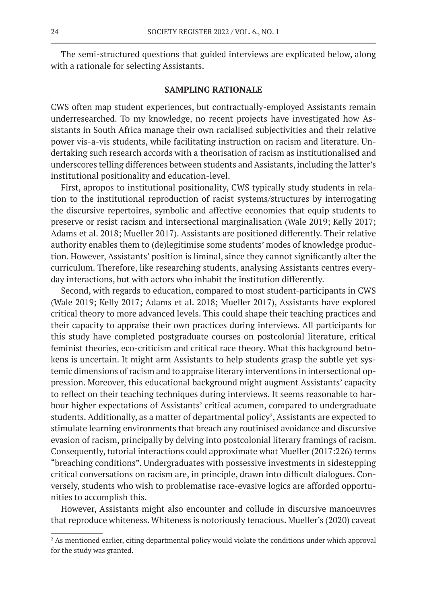The semi-structured questions that guided interviews are explicated below, along with a rationale for selecting Assistants.

## **SAMPLING RATIONALE**

CWS often map student experiences, but contractually-employed Assistants remain underresearched. To my knowledge, no recent projects have investigated how Assistants in South Africa manage their own racialised subjectivities and their relative power vis-a-vis students, while facilitating instruction on racism and literature. Undertaking such research accords with a theorisation of racism as institutionalised and underscores telling differences between students and Assistants, including the latter's institutional positionality and education-level.

First, apropos to institutional positionality, CWS typically study students in relation to the institutional reproduction of racist systems/structures by interrogating the discursive repertoires, symbolic and affective economies that equip students to preserve or resist racism and intersectional marginalisation (Wale 2019; Kelly 2017; Adams et al. 2018; Mueller 2017). Assistants are positioned differently. Their relative authority enables them to (de)legitimise some students' modes of knowledge production. However, Assistants' position is liminal, since they cannot significantly alter the curriculum. Therefore, like researching students, analysing Assistants centres everyday interactions, but with actors who inhabit the institution differently.

Second, with regards to education, compared to most student-participants in CWS (Wale 2019; Kelly 2017; Adams et al. 2018; Mueller 2017), Assistants have explored critical theory to more advanced levels. This could shape their teaching practices and their capacity to appraise their own practices during interviews. All participants for this study have completed postgraduate courses on postcolonial literature, critical feminist theories, eco-criticism and critical race theory. What this background betokens is uncertain. It might arm Assistants to help students grasp the subtle yet systemic dimensions of racism and to appraise literary interventions in intersectional oppression. Moreover, this educational background might augment Assistants' capacity to reflect on their teaching techniques during interviews. It seems reasonable to harbour higher expectations of Assistants' critical acumen, compared to undergraduate students. Additionally, as a matter of departmental policy<sup>2</sup>, Assistants are expected to stimulate learning environments that breach any routinised avoidance and discursive evasion of racism, principally by delving into postcolonial literary framings of racism. Consequently, tutorial interactions could approximate what Mueller (2017:226) terms "breaching conditions". Undergraduates with possessive investments in sidestepping critical conversations on racism are, in principle, drawn into difficult dialogues. Conversely, students who wish to problematise race-evasive logics are afforded opportunities to accomplish this.

However, Assistants might also encounter and collude in discursive manoeuvres that reproduce whiteness. Whiteness is notoriously tenacious. Mueller's (2020) caveat

<sup>&</sup>lt;sup>2</sup> As mentioned earlier, citing departmental policy would violate the conditions under which approval for the study was granted.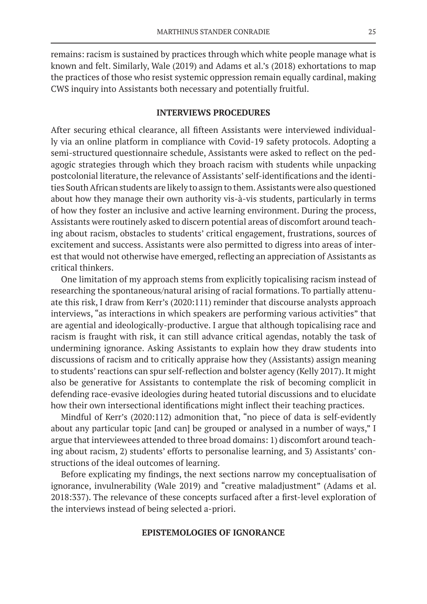remains: racism is sustained by practices through which white people manage what is known and felt. Similarly, Wale (2019) and Adams et al.'s (2018) exhortations to map the practices of those who resist systemic oppression remain equally cardinal, making CWS inquiry into Assistants both necessary and potentially fruitful.

## **INTERVIEWS PROCEDURES**

After securing ethical clearance, all fifteen Assistants were interviewed individually via an online platform in compliance with Covid-19 safety protocols. Adopting a semi-structured questionnaire schedule, Assistants were asked to reflect on the pedagogic strategies through which they broach racism with students while unpacking postcolonial literature, the relevance of Assistants' self-identifications and the identities South African students are likely to assign to them. Assistants were also questioned about how they manage their own authority vis-à-vis students, particularly in terms of how they foster an inclusive and active learning environment. During the process, Assistants were routinely asked to discern potential areas of discomfort around teaching about racism, obstacles to students' critical engagement, frustrations, sources of excitement and success. Assistants were also permitted to digress into areas of interest that would not otherwise have emerged, reflecting an appreciation of Assistants as critical thinkers.

One limitation of my approach stems from explicitly topicalising racism instead of researching the spontaneous/natural arising of racial formations. To partially attenuate this risk, I draw from Kerr's (2020:111) reminder that discourse analysts approach interviews, "as interactions in which speakers are performing various activities" that are agential and ideologically-productive. I argue that although topicalising race and racism is fraught with risk, it can still advance critical agendas, notably the task of undermining ignorance. Asking Assistants to explain how they draw students into discussions of racism and to critically appraise how they (Assistants) assign meaning to students' reactions can spur self-reflection and bolster agency (Kelly 2017). It might also be generative for Assistants to contemplate the risk of becoming complicit in defending race-evasive ideologies during heated tutorial discussions and to elucidate how their own intersectional identifications might inflect their teaching practices.

Mindful of Kerr's (2020:112) admonition that, "no piece of data is self-evidently about any particular topic [and can] be grouped or analysed in a number of ways," I argue that interviewees attended to three broad domains: 1) discomfort around teaching about racism, 2) students' efforts to personalise learning, and 3) Assistants' constructions of the ideal outcomes of learning.

Before explicating my findings, the next sections narrow my conceptualisation of ignorance, invulnerability (Wale 2019) and "creative maladjustment" (Adams et al. 2018:337). The relevance of these concepts surfaced after a first-level exploration of the interviews instead of being selected a-priori.

## **EPISTEMOLOGIES OF IGNORANCE**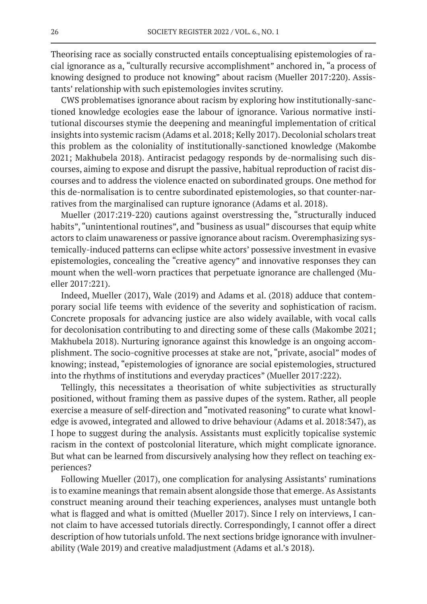Theorising race as socially constructed entails conceptualising epistemologies of racial ignorance as a, "culturally recursive accomplishment" anchored in, "a process of knowing designed to produce not knowing" about racism (Mueller 2017:220). Assistants' relationship with such epistemologies invites scrutiny.

CWS problematises ignorance about racism by exploring how institutionally-sanctioned knowledge ecologies ease the labour of ignorance. Various normative institutional discourses stymie the deepening and meaningful implementation of critical insights into systemic racism (Adams et al. 2018; Kelly 2017). Decolonial scholars treat this problem as the coloniality of institutionally-sanctioned knowledge (Makombe 2021; Makhubela 2018). Antiracist pedagogy responds by de-normalising such discourses, aiming to expose and disrupt the passive, habitual reproduction of racist discourses and to address the violence enacted on subordinated groups. One method for this de-normalisation is to centre subordinated epistemologies, so that counter-narratives from the marginalised can rupture ignorance (Adams et al. 2018).

Mueller (2017:219-220) cautions against overstressing the, "structurally induced habits", "unintentional routines", and "business as usual" discourses that equip white actors to claim unawareness or passive ignorance about racism. Overemphasizing systemically-induced patterns can eclipse white actors' possessive investment in evasive epistemologies, concealing the "creative agency" and innovative responses they can mount when the well-worn practices that perpetuate ignorance are challenged (Mueller 2017:221).

Indeed, Mueller (2017), Wale (2019) and Adams et al. (2018) adduce that contemporary social life teems with evidence of the severity and sophistication of racism. Concrete proposals for advancing justice are also widely available, with vocal calls for decolonisation contributing to and directing some of these calls (Makombe 2021; Makhubela 2018). Nurturing ignorance against this knowledge is an ongoing accomplishment. The socio-cognitive processes at stake are not, "private, asocial" modes of knowing; instead, "epistemologies of ignorance are social epistemologies, structured into the rhythms of institutions and everyday practices" (Mueller 2017:222).

Tellingly, this necessitates a theorisation of white subjectivities as structurally positioned, without framing them as passive dupes of the system. Rather, all people exercise a measure of self-direction and "motivated reasoning" to curate what knowledge is avowed, integrated and allowed to drive behaviour (Adams et al. 2018:347), as I hope to suggest during the analysis. Assistants must explicitly topicalise systemic racism in the context of postcolonial literature, which might complicate ignorance. But what can be learned from discursively analysing how they reflect on teaching experiences?

Following Mueller (2017), one complication for analysing Assistants' ruminations is to examine meanings that remain absent alongside those that emerge. As Assistants construct meaning around their teaching experiences, analyses must untangle both what is flagged and what is omitted (Mueller 2017). Since I rely on interviews, I cannot claim to have accessed tutorials directly. Correspondingly, I cannot offer a direct description of how tutorials unfold. The next sections bridge ignorance with invulnerability (Wale 2019) and creative maladjustment (Adams et al.'s 2018).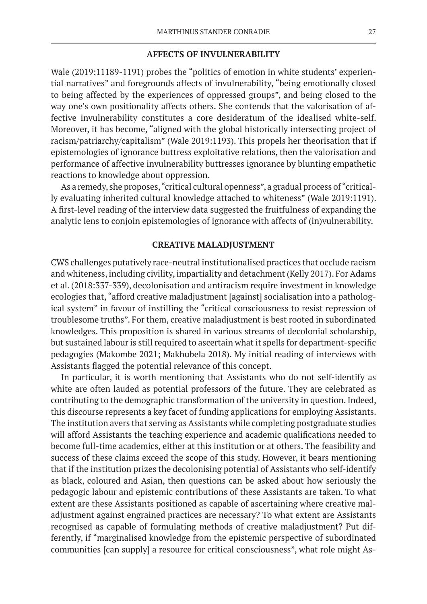#### **AFFECTS OF INVULNERABILITY**

Wale (2019:11189-1191) probes the "politics of emotion in white students' experiential narratives" and foregrounds affects of invulnerability, "being emotionally closed to being affected by the experiences of oppressed groups", and being closed to the way one's own positionality affects others. She contends that the valorisation of affective invulnerability constitutes a core desideratum of the idealised white-self. Moreover, it has become, "aligned with the global historically intersecting project of racism/patriarchy/capitalism" (Wale 2019:1193). This propels her theorisation that if epistemologies of ignorance buttress exploitative relations, then the valorisation and performance of affective invulnerability buttresses ignorance by blunting empathetic reactions to knowledge about oppression.

As a remedy, she proposes, "critical cultural openness", a gradual process of "critically evaluating inherited cultural knowledge attached to whiteness" (Wale 2019:1191). A first-level reading of the interview data suggested the fruitfulness of expanding the analytic lens to conjoin epistemologies of ignorance with affects of (in)vulnerability.

#### **CREATIVE MALADJUSTMENT**

CWS challenges putatively race-neutral institutionalised practices that occlude racism and whiteness, including civility, impartiality and detachment (Kelly 2017). For Adams et al. (2018:337-339), decolonisation and antiracism require investment in knowledge ecologies that, "afford creative maladjustment [against] socialisation into a pathological system" in favour of instilling the "critical consciousness to resist repression of troublesome truths". For them, creative maladjustment is best rooted in subordinated knowledges. This proposition is shared in various streams of decolonial scholarship, but sustained labour is still required to ascertain what it spells for department-specific pedagogies (Makombe 2021; Makhubela 2018). My initial reading of interviews with Assistants flagged the potential relevance of this concept.

In particular, it is worth mentioning that Assistants who do not self-identify as white are often lauded as potential professors of the future. They are celebrated as contributing to the demographic transformation of the university in question. Indeed, this discourse represents a key facet of funding applications for employing Assistants. The institution avers that serving as Assistants while completing postgraduate studies will afford Assistants the teaching experience and academic qualifications needed to become full-time academics, either at this institution or at others. The feasibility and success of these claims exceed the scope of this study. However, it bears mentioning that if the institution prizes the decolonising potential of Assistants who self-identify as black, coloured and Asian, then questions can be asked about how seriously the pedagogic labour and epistemic contributions of these Assistants are taken. To what extent are these Assistants positioned as capable of ascertaining where creative maladjustment against engrained practices are necessary? To what extent are Assistants recognised as capable of formulating methods of creative maladjustment? Put differently, if "marginalised knowledge from the epistemic perspective of subordinated communities [can supply] a resource for critical consciousness", what role might As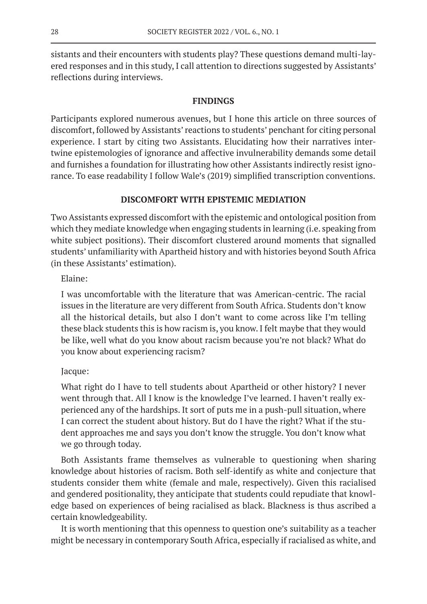sistants and their encounters with students play? These questions demand multi-layered responses and in this study, I call attention to directions suggested by Assistants' reflections during interviews.

# **FINDINGS**

Participants explored numerous avenues, but I hone this article on three sources of discomfort, followed by Assistants' reactions to students' penchant for citing personal experience. I start by citing two Assistants. Elucidating how their narratives intertwine epistemologies of ignorance and affective invulnerability demands some detail and furnishes a foundation for illustrating how other Assistants indirectly resist ignorance. To ease readability I follow Wale's (2019) simplified transcription conventions.

# **DISCOMFORT WITH EPISTEMIC MEDIATION**

Two Assistants expressed discomfort with the epistemic and ontological position from which they mediate knowledge when engaging students in learning (i.e. speaking from white subject positions). Their discomfort clustered around moments that signalled students' unfamiliarity with Apartheid history and with histories beyond South Africa (in these Assistants' estimation).

Elaine:

I was uncomfortable with the literature that was American-centric. The racial issues in the literature are very different from South Africa. Students don't know all the historical details, but also I don't want to come across like I'm telling these black students this is how racism is, you know. I felt maybe that they would be like, well what do you know about racism because you're not black? What do you know about experiencing racism?

# Jacque:

What right do I have to tell students about Apartheid or other history? I never went through that. All I know is the knowledge I've learned. I haven't really experienced any of the hardships. It sort of puts me in a push-pull situation, where I can correct the student about history. But do I have the right? What if the student approaches me and says you don't know the struggle. You don't know what we go through today.

Both Assistants frame themselves as vulnerable to questioning when sharing knowledge about histories of racism. Both self-identify as white and conjecture that students consider them white (female and male, respectively). Given this racialised and gendered positionality, they anticipate that students could repudiate that knowledge based on experiences of being racialised as black. Blackness is thus ascribed a certain knowledgeability.

It is worth mentioning that this openness to question one's suitability as a teacher might be necessary in contemporary South Africa, especially if racialised as white, and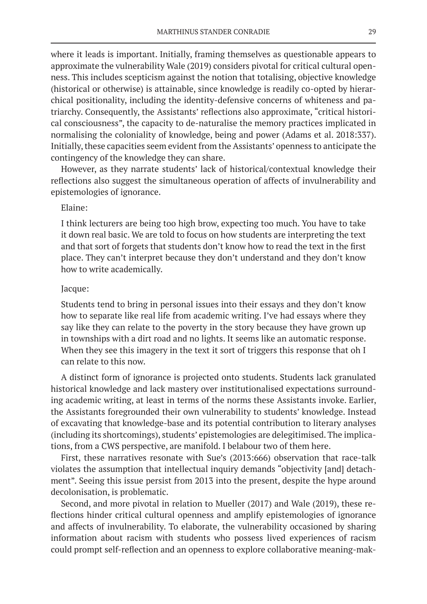where it leads is important. Initially, framing themselves as questionable appears to approximate the vulnerability Wale (2019) considers pivotal for critical cultural openness. This includes scepticism against the notion that totalising, objective knowledge (historical or otherwise) is attainable, since knowledge is readily co-opted by hierarchical positionality, including the identity-defensive concerns of whiteness and patriarchy. Consequently, the Assistants' reflections also approximate, "critical historical consciousness", the capacity to de-naturalise the memory practices implicated in normalising the coloniality of knowledge, being and power (Adams et al. 2018:337). Initially, these capacities seem evident from the Assistants' openness to anticipate the contingency of the knowledge they can share.

However, as they narrate students' lack of historical/contextual knowledge their reflections also suggest the simultaneous operation of affects of invulnerability and epistemologies of ignorance.

## Elaine:

I think lecturers are being too high brow, expecting too much. You have to take it down real basic. We are told to focus on how students are interpreting the text and that sort of forgets that students don't know how to read the text in the first place. They can't interpret because they don't understand and they don't know how to write academically.

# Jacque:

Students tend to bring in personal issues into their essays and they don't know how to separate like real life from academic writing. I've had essays where they say like they can relate to the poverty in the story because they have grown up in townships with a dirt road and no lights. It seems like an automatic response. When they see this imagery in the text it sort of triggers this response that oh I can relate to this now.

A distinct form of ignorance is projected onto students. Students lack granulated historical knowledge and lack mastery over institutionalised expectations surrounding academic writing, at least in terms of the norms these Assistants invoke. Earlier, the Assistants foregrounded their own vulnerability to students' knowledge. Instead of excavating that knowledge-base and its potential contribution to literary analyses (including its shortcomings), students' epistemologies are delegitimised. The implications, from a CWS perspective, are manifold. I belabour two of them here.

First, these narratives resonate with Sue's (2013:666) observation that race-talk violates the assumption that intellectual inquiry demands "objectivity [and] detachment". Seeing this issue persist from 2013 into the present, despite the hype around decolonisation, is problematic.

Second, and more pivotal in relation to Mueller (2017) and Wale (2019), these reflections hinder critical cultural openness and amplify epistemologies of ignorance and affects of invulnerability. To elaborate, the vulnerability occasioned by sharing information about racism with students who possess lived experiences of racism could prompt self-reflection and an openness to explore collaborative meaning-mak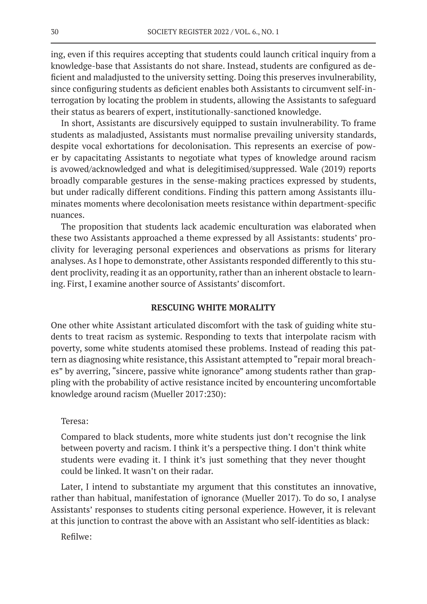ing, even if this requires accepting that students could launch critical inquiry from a knowledge-base that Assistants do not share. Instead, students are configured as deficient and maladjusted to the university setting. Doing this preserves invulnerability, since configuring students as deficient enables both Assistants to circumvent self-interrogation by locating the problem in students, allowing the Assistants to safeguard their status as bearers of expert, institutionally-sanctioned knowledge.

In short, Assistants are discursively equipped to sustain invulnerability. To frame students as maladjusted, Assistants must normalise prevailing university standards, despite vocal exhortations for decolonisation. This represents an exercise of power by capacitating Assistants to negotiate what types of knowledge around racism is avowed/acknowledged and what is delegitimised/suppressed. Wale (2019) reports broadly comparable gestures in the sense-making practices expressed by students, but under radically different conditions. Finding this pattern among Assistants illuminates moments where decolonisation meets resistance within department-specific nuances.

The proposition that students lack academic enculturation was elaborated when these two Assistants approached a theme expressed by all Assistants: students' proclivity for leveraging personal experiences and observations as prisms for literary analyses. As I hope to demonstrate, other Assistants responded differently to this student proclivity, reading it as an opportunity, rather than an inherent obstacle to learning. First, I examine another source of Assistants' discomfort.

#### **RESCUING WHITE MORALITY**

One other white Assistant articulated discomfort with the task of guiding white students to treat racism as systemic. Responding to texts that interpolate racism with poverty, some white students atomised these problems. Instead of reading this pattern as diagnosing white resistance, this Assistant attempted to "repair moral breaches" by averring, "sincere, passive white ignorance" among students rather than grappling with the probability of active resistance incited by encountering uncomfortable knowledge around racism (Mueller 2017:230):

## Teresa:

Compared to black students, more white students just don't recognise the link between poverty and racism. I think it's a perspective thing. I don't think white students were evading it. I think it's just something that they never thought could be linked. It wasn't on their radar.

Later, I intend to substantiate my argument that this constitutes an innovative, rather than habitual, manifestation of ignorance (Mueller 2017). To do so, I analyse Assistants' responses to students citing personal experience. However, it is relevant at this junction to contrast the above with an Assistant who self-identities as black:

Refilwe: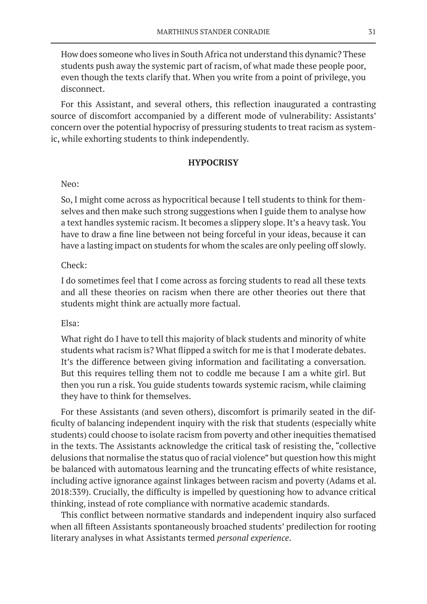How does someone who lives in South Africa not understand this dynamic? These students push away the systemic part of racism, of what made these people poor, even though the texts clarify that. When you write from a point of privilege, you disconnect.

For this Assistant, and several others, this reflection inaugurated a contrasting source of discomfort accompanied by a different mode of vulnerability: Assistants' concern over the potential hypocrisy of pressuring students to treat racism as systemic, while exhorting students to think independently.

# **HYPOCRISY**

# Neo:

So, I might come across as hypocritical because I tell students to think for themselves and then make such strong suggestions when I guide them to analyse how a text handles systemic racism. It becomes a slippery slope. It's a heavy task. You have to draw a fine line between not being forceful in your ideas, because it can have a lasting impact on students for whom the scales are only peeling off slowly.

# Check:

I do sometimes feel that I come across as forcing students to read all these texts and all these theories on racism when there are other theories out there that students might think are actually more factual.

## Elsa:

What right do I have to tell this majority of black students and minority of white students what racism is? What flipped a switch for me is that I moderate debates. It's the difference between giving information and facilitating a conversation. But this requires telling them not to coddle me because I am a white girl. But then you run a risk. You guide students towards systemic racism, while claiming they have to think for themselves.

For these Assistants (and seven others), discomfort is primarily seated in the difficulty of balancing independent inquiry with the risk that students (especially white students) could choose to isolate racism from poverty and other inequities thematised in the texts. The Assistants acknowledge the critical task of resisting the, "collective delusions that normalise the status quo of racial violence" but question how this might be balanced with automatous learning and the truncating effects of white resistance, including active ignorance against linkages between racism and poverty (Adams et al. 2018:339). Crucially, the difficulty is impelled by questioning how to advance critical thinking, instead of rote compliance with normative academic standards.

This conflict between normative standards and independent inquiry also surfaced when all fifteen Assistants spontaneously broached students' predilection for rooting literary analyses in what Assistants termed *personal experience*.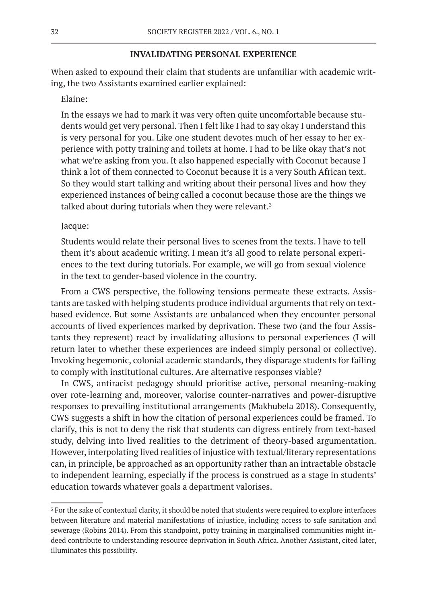## **INVALIDATING PERSONAL EXPERIENCE**

When asked to expound their claim that students are unfamiliar with academic writing, the two Assistants examined earlier explained:

# Elaine:

In the essays we had to mark it was very often quite uncomfortable because students would get very personal. Then I felt like I had to say okay I understand this is very personal for you. Like one student devotes much of her essay to her experience with potty training and toilets at home. I had to be like okay that's not what we're asking from you. It also happened especially with Coconut because I think a lot of them connected to Coconut because it is a very South African text. So they would start talking and writing about their personal lives and how they experienced instances of being called a coconut because those are the things we talked about during tutorials when they were relevant.<sup>3</sup>

## Jacque:

Students would relate their personal lives to scenes from the texts. I have to tell them it's about academic writing. I mean it's all good to relate personal experiences to the text during tutorials. For example, we will go from sexual violence in the text to gender-based violence in the country.

From a CWS perspective, the following tensions permeate these extracts. Assistants are tasked with helping students produce individual arguments that rely on textbased evidence. But some Assistants are unbalanced when they encounter personal accounts of lived experiences marked by deprivation. These two (and the four Assistants they represent) react by invalidating allusions to personal experiences (I will return later to whether these experiences are indeed simply personal or collective). Invoking hegemonic, colonial academic standards, they disparage students for failing to comply with institutional cultures. Are alternative responses viable?

In CWS, antiracist pedagogy should prioritise active, personal meaning-making over rote-learning and, moreover, valorise counter-narratives and power-disruptive responses to prevailing institutional arrangements (Makhubela 2018). Consequently, CWS suggests a shift in how the citation of personal experiences could be framed. To clarify, this is not to deny the risk that students can digress entirely from text-based study, delving into lived realities to the detriment of theory-based argumentation. However, interpolating lived realities of injustice with textual/literary representations can, in principle, be approached as an opportunity rather than an intractable obstacle to independent learning, especially if the process is construed as a stage in students' education towards whatever goals a department valorises.

<sup>&</sup>lt;sup>3</sup> For the sake of contextual clarity, it should be noted that students were required to explore interfaces between literature and material manifestations of injustice, including access to safe sanitation and sewerage (Robins 2014). From this standpoint, potty training in marginalised communities might indeed contribute to understanding resource deprivation in South Africa. Another Assistant, cited later, illuminates this possibility.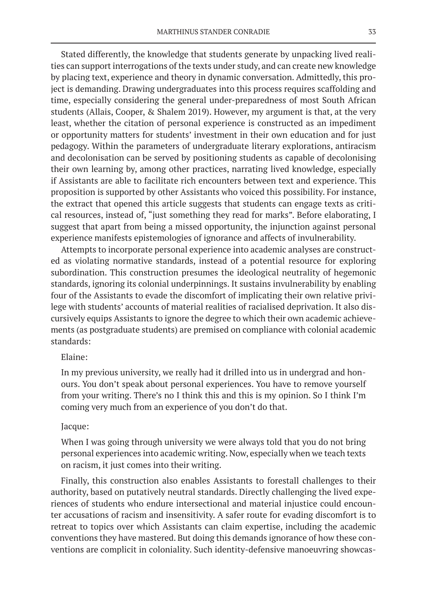Stated differently, the knowledge that students generate by unpacking lived realities can support interrogations of the texts under study, and can create new knowledge by placing text, experience and theory in dynamic conversation. Admittedly, this project is demanding. Drawing undergraduates into this process requires scaffolding and time, especially considering the general under-preparedness of most South African students (Allais, Cooper, & Shalem 2019). However, my argument is that, at the very least, whether the citation of personal experience is constructed as an impediment or opportunity matters for students' investment in their own education and for just pedagogy. Within the parameters of undergraduate literary explorations, antiracism and decolonisation can be served by positioning students as capable of decolonising their own learning by, among other practices, narrating lived knowledge, especially if Assistants are able to facilitate rich encounters between text and experience. This proposition is supported by other Assistants who voiced this possibility. For instance, the extract that opened this article suggests that students can engage texts as critical resources, instead of, "just something they read for marks". Before elaborating, I suggest that apart from being a missed opportunity, the injunction against personal experience manifests epistemologies of ignorance and affects of invulnerability.

Attempts to incorporate personal experience into academic analyses are constructed as violating normative standards, instead of a potential resource for exploring subordination. This construction presumes the ideological neutrality of hegemonic standards, ignoring its colonial underpinnings. It sustains invulnerability by enabling four of the Assistants to evade the discomfort of implicating their own relative privilege with students' accounts of material realities of racialised deprivation. It also discursively equips Assistants to ignore the degree to which their own academic achievements (as postgraduate students) are premised on compliance with colonial academic standards:

# Elaine:

In my previous university, we really had it drilled into us in undergrad and honours. You don't speak about personal experiences. You have to remove yourself from your writing. There's no I think this and this is my opinion. So I think I'm coming very much from an experience of you don't do that.

# Jacque:

When I was going through university we were always told that you do not bring personal experiences into academic writing. Now, especially when we teach texts on racism, it just comes into their writing.

Finally, this construction also enables Assistants to forestall challenges to their authority, based on putatively neutral standards. Directly challenging the lived experiences of students who endure intersectional and material injustice could encounter accusations of racism and insensitivity. A safer route for evading discomfort is to retreat to topics over which Assistants can claim expertise, including the academic conventions they have mastered. But doing this demands ignorance of how these conventions are complicit in coloniality. Such identity-defensive manoeuvring showcas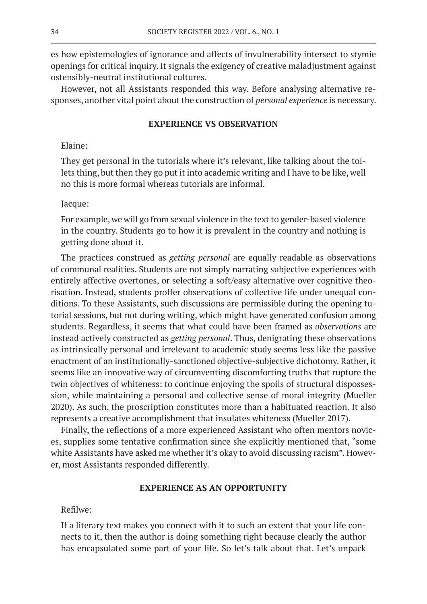es how epistemologies of ignorance and affects of invulnerability intersect to stymie openings for critical inquiry. It signals the exigency of creative maladjustment against ostensibly-neutral institutional cultures.

However, not all Assistants responded this way. Before analysing alternative responses, another vital point about the construction of *personal experience* is necessary.

# **EXPERIENCE VS OBSERVATION**

# Elaine:

They get personal in the tutorials where it's relevant, like talking about the toilets thing, but then they go put it into academic writing and I have to be like, well no this is more formal whereas tutorials are informal.

## Jacque:

For example, we will go from sexual violence in the text to gender-based violence in the country. Students go to how it is prevalent in the country and nothing is getting done about it.

The practices construed as *getting personal* are equally readable as observations of communal realities. Students are not simply narrating subjective experiences with entirely affective overtones, or selecting a soft/easy alternative over cognitive theorisation. Instead, students proffer observations of collective life under unequal conditions. To these Assistants, such discussions are permissible during the opening tutorial sessions, but not during writing, which might have generated confusion among students. Regardless, it seems that what could have been framed as *observations* are instead actively constructed as *getting personal*. Thus, denigrating these observations as intrinsically personal and irrelevant to academic study seems less like the passive enactment of an institutionally-sanctioned objective-subjective dichotomy. Rather, it seems like an innovative way of circumventing discomforting truths that rupture the twin objectives of whiteness: to continue enjoying the spoils of structural dispossession, while maintaining a personal and collective sense of moral integrity (Mueller 2020). As such, the proscription constitutes more than a habituated reaction. It also represents a creative accomplishment that insulates whiteness (Mueller 2017).

Finally, the reflections of a more experienced Assistant who often mentors novices, supplies some tentative confirmation since she explicitly mentioned that, "some white Assistants have asked me whether it's okay to avoid discussing racism". However, most Assistants responded differently.

# **EXPERIENCE AS AN OPPORTUNITY**

Refilwe:

If a literary text makes you connect with it to such an extent that your life connects to it, then the author is doing something right because clearly the author has encapsulated some part of your life. So let's talk about that. Let's unpack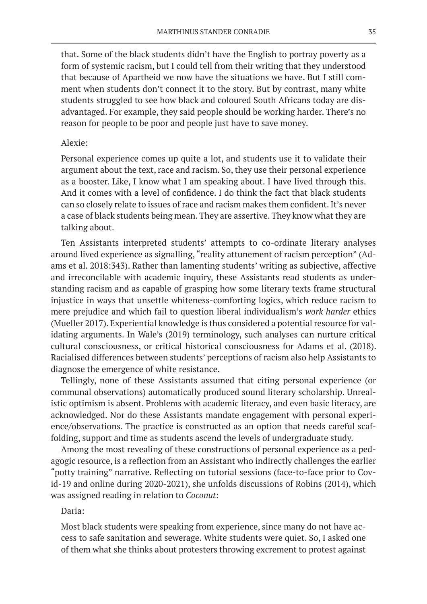that. Some of the black students didn't have the English to portray poverty as a form of systemic racism, but I could tell from their writing that they understood that because of Apartheid we now have the situations we have. But I still comment when students don't connect it to the story. But by contrast, many white students struggled to see how black and coloured South Africans today are disadvantaged. For example, they said people should be working harder. There's no reason for people to be poor and people just have to save money.

## Alexie:

Personal experience comes up quite a lot, and students use it to validate their argument about the text, race and racism. So, they use their personal experience as a booster. Like, I know what I am speaking about. I have lived through this. And it comes with a level of confidence. I do think the fact that black students can so closely relate to issues of race and racism makes them confident. It's never a case of black students being mean. They are assertive. They know what they are talking about.

Ten Assistants interpreted students' attempts to co-ordinate literary analyses around lived experience as signalling, "reality attunement of racism perception" (Adams et al. 2018:343). Rather than lamenting students' writing as subjective, affective and irreconcilable with academic inquiry, these Assistants read students as understanding racism and as capable of grasping how some literary texts frame structural injustice in ways that unsettle whiteness-comforting logics, which reduce racism to mere prejudice and which fail to question liberal individualism's *work harder* ethics (Mueller 2017). Experiential knowledge is thus considered a potential resource for validating arguments. In Wale's (2019) terminology, such analyses can nurture critical cultural consciousness, or critical historical consciousness for Adams et al. (2018). Racialised differences between students' perceptions of racism also help Assistants to diagnose the emergence of white resistance.

Tellingly, none of these Assistants assumed that citing personal experience (or communal observations) automatically produced sound literary scholarship. Unrealistic optimism is absent. Problems with academic literacy, and even basic literacy, are acknowledged. Nor do these Assistants mandate engagement with personal experience/observations. The practice is constructed as an option that needs careful scaffolding, support and time as students ascend the levels of undergraduate study.

Among the most revealing of these constructions of personal experience as a pedagogic resource, is a reflection from an Assistant who indirectly challenges the earlier "potty training" narrative. Reflecting on tutorial sessions (face-to-face prior to Covid-19 and online during 2020-2021), she unfolds discussions of Robins (2014), which was assigned reading in relation to *Coconut*:

## Daria:

Most black students were speaking from experience, since many do not have access to safe sanitation and sewerage. White students were quiet. So, I asked one of them what she thinks about protesters throwing excrement to protest against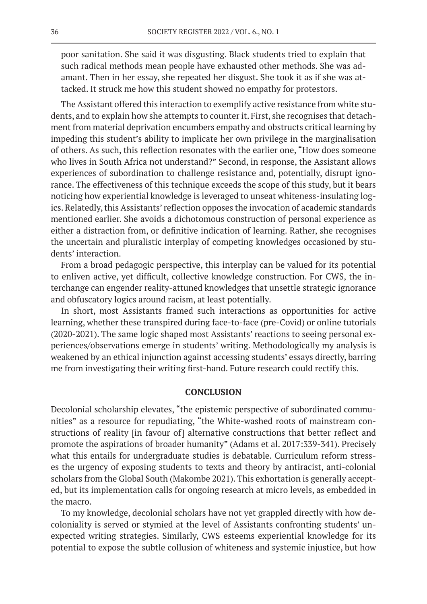poor sanitation. She said it was disgusting. Black students tried to explain that such radical methods mean people have exhausted other methods. She was adamant. Then in her essay, she repeated her disgust. She took it as if she was attacked. It struck me how this student showed no empathy for protestors.

The Assistant offered this interaction to exemplify active resistance from white students, and to explain how she attempts to counter it. First, she recognises that detachment from material deprivation encumbers empathy and obstructs critical learning by impeding this student's ability to implicate her own privilege in the marginalisation of others. As such, this reflection resonates with the earlier one, "How does someone who lives in South Africa not understand?" Second, in response, the Assistant allows experiences of subordination to challenge resistance and, potentially, disrupt ignorance. The effectiveness of this technique exceeds the scope of this study, but it bears noticing how experiential knowledge is leveraged to unseat whiteness-insulating logics. Relatedly, this Assistants' reflection opposes the invocation of academic standards mentioned earlier. She avoids a dichotomous construction of personal experience as either a distraction from, or definitive indication of learning. Rather, she recognises the uncertain and pluralistic interplay of competing knowledges occasioned by students' interaction.

From a broad pedagogic perspective, this interplay can be valued for its potential to enliven active, yet difficult, collective knowledge construction. For CWS, the interchange can engender reality-attuned knowledges that unsettle strategic ignorance and obfuscatory logics around racism, at least potentially.

In short, most Assistants framed such interactions as opportunities for active learning, whether these transpired during face-to-face (pre-Covid) or online tutorials (2020-2021). The same logic shaped most Assistants' reactions to seeing personal experiences/observations emerge in students' writing. Methodologically my analysis is weakened by an ethical injunction against accessing students' essays directly, barring me from investigating their writing first-hand. Future research could rectify this.

## **CONCLUSION**

Decolonial scholarship elevates, "the epistemic perspective of subordinated communities" as a resource for repudiating, "the White-washed roots of mainstream constructions of reality [in favour of] alternative constructions that better reflect and promote the aspirations of broader humanity" (Adams et al. 2017:339-341). Precisely what this entails for undergraduate studies is debatable. Curriculum reform stresses the urgency of exposing students to texts and theory by antiracist, anti-colonial scholars from the Global South (Makombe 2021). This exhortation is generally accepted, but its implementation calls for ongoing research at micro levels, as embedded in the macro.

To my knowledge, decolonial scholars have not yet grappled directly with how decoloniality is served or stymied at the level of Assistants confronting students' unexpected writing strategies. Similarly, CWS esteems experiential knowledge for its potential to expose the subtle collusion of whiteness and systemic injustice, but how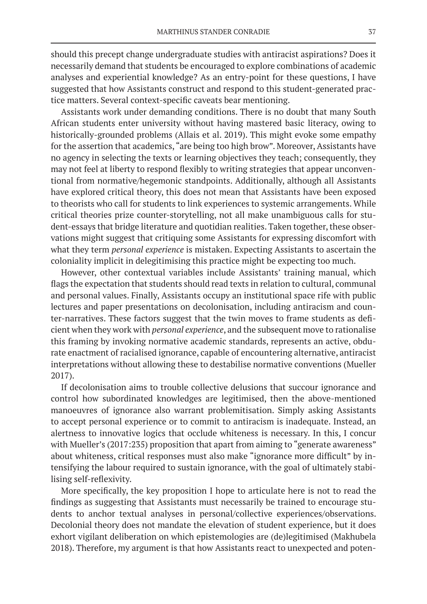should this precept change undergraduate studies with antiracist aspirations? Does it necessarily demand that students be encouraged to explore combinations of academic analyses and experiential knowledge? As an entry-point for these questions, I have suggested that how Assistants construct and respond to this student-generated practice matters. Several context-specific caveats bear mentioning.

Assistants work under demanding conditions. There is no doubt that many South African students enter university without having mastered basic literacy, owing to historically-grounded problems (Allais et al. 2019). This might evoke some empathy for the assertion that academics, "are being too high brow". Moreover, Assistants have no agency in selecting the texts or learning objectives they teach; consequently, they may not feel at liberty to respond flexibly to writing strategies that appear unconventional from normative/hegemonic standpoints. Additionally, although all Assistants have explored critical theory, this does not mean that Assistants have been exposed to theorists who call for students to link experiences to systemic arrangements. While critical theories prize counter-storytelling, not all make unambiguous calls for student-essays that bridge literature and quotidian realities. Taken together, these observations might suggest that critiquing some Assistants for expressing discomfort with what they term *personal experience* is mistaken. Expecting Assistants to ascertain the coloniality implicit in delegitimising this practice might be expecting too much.

However, other contextual variables include Assistants' training manual, which flags the expectation that students should read texts in relation to cultural, communal and personal values. Finally, Assistants occupy an institutional space rife with public lectures and paper presentations on decolonisation, including antiracism and counter-narratives. These factors suggest that the twin moves to frame students as deficient when they work with *personal experience*, and the subsequent move to rationalise this framing by invoking normative academic standards, represents an active, obdurate enactment of racialised ignorance, capable of encountering alternative, antiracist interpretations without allowing these to destabilise normative conventions (Mueller 2017).

If decolonisation aims to trouble collective delusions that succour ignorance and control how subordinated knowledges are legitimised, then the above-mentioned manoeuvres of ignorance also warrant problemitisation. Simply asking Assistants to accept personal experience or to commit to antiracism is inadequate. Instead, an alertness to innovative logics that occlude whiteness is necessary. In this, I concur with Mueller's (2017:235) proposition that apart from aiming to "generate awareness" about whiteness, critical responses must also make "ignorance more difficult" by intensifying the labour required to sustain ignorance, with the goal of ultimately stabilising self-reflexivity.

More specifically, the key proposition I hope to articulate here is not to read the findings as suggesting that Assistants must necessarily be trained to encourage students to anchor textual analyses in personal/collective experiences/observations. Decolonial theory does not mandate the elevation of student experience, but it does exhort vigilant deliberation on which epistemologies are (de)legitimised (Makhubela 2018). Therefore, my argument is that how Assistants react to unexpected and poten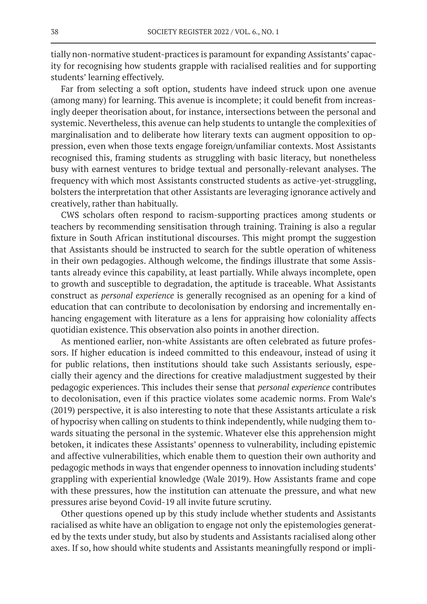tially non-normative student-practices is paramount for expanding Assistants' capacity for recognising how students grapple with racialised realities and for supporting students' learning effectively.

Far from selecting a soft option, students have indeed struck upon one avenue (among many) for learning. This avenue is incomplete; it could benefit from increasingly deeper theorisation about, for instance, intersections between the personal and systemic. Nevertheless, this avenue can help students to untangle the complexities of marginalisation and to deliberate how literary texts can augment opposition to oppression, even when those texts engage foreign/unfamiliar contexts. Most Assistants recognised this, framing students as struggling with basic literacy, but nonetheless busy with earnest ventures to bridge textual and personally-relevant analyses. The frequency with which most Assistants constructed students as active-yet-struggling, bolsters the interpretation that other Assistants are leveraging ignorance actively and creatively, rather than habitually.

CWS scholars often respond to racism-supporting practices among students or teachers by recommending sensitisation through training. Training is also a regular fixture in South African institutional discourses. This might prompt the suggestion that Assistants should be instructed to search for the subtle operation of whiteness in their own pedagogies. Although welcome, the findings illustrate that some Assistants already evince this capability, at least partially. While always incomplete, open to growth and susceptible to degradation, the aptitude is traceable. What Assistants construct as *personal experience* is generally recognised as an opening for a kind of education that can contribute to decolonisation by endorsing and incrementally enhancing engagement with literature as a lens for appraising how coloniality affects quotidian existence. This observation also points in another direction.

As mentioned earlier, non-white Assistants are often celebrated as future professors. If higher education is indeed committed to this endeavour, instead of using it for public relations, then institutions should take such Assistants seriously, especially their agency and the directions for creative maladjustment suggested by their pedagogic experiences. This includes their sense that *personal experience* contributes to decolonisation, even if this practice violates some academic norms. From Wale's (2019) perspective, it is also interesting to note that these Assistants articulate a risk of hypocrisy when calling on students to think independently, while nudging them towards situating the personal in the systemic. Whatever else this apprehension might betoken, it indicates these Assistants' openness to vulnerability, including epistemic and affective vulnerabilities, which enable them to question their own authority and pedagogic methods in ways that engender openness to innovation including students' grappling with experiential knowledge (Wale 2019). How Assistants frame and cope with these pressures, how the institution can attenuate the pressure, and what new pressures arise beyond Covid-19 all invite future scrutiny.

Other questions opened up by this study include whether students and Assistants racialised as white have an obligation to engage not only the epistemologies generated by the texts under study, but also by students and Assistants racialised along other axes. If so, how should white students and Assistants meaningfully respond or impli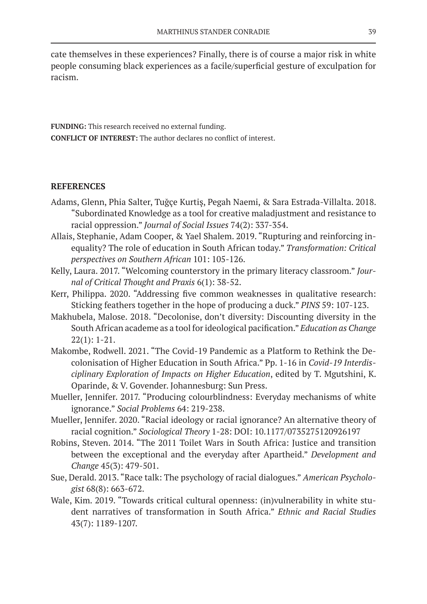cate themselves in these experiences? Finally, there is of course a major risk in white people consuming black experiences as a facile/superficial gesture of exculpation for racism.

**FUNDING:** This research received no external funding. **CONFLICT OF INTEREST:** The author declares no conflict of interest.

# **REFERENCES**

- Adams, Glenn, Phia Salter, Tuğçe Kurtiş, Pegah Naemi, & Sara Estrada-Villalta. 2018. "Subordinated Knowledge as a tool for creative maladjustment and resistance to racial oppression." *Journal of Social Issues* 74(2): 337-354.
- Allais, Stephanie, Adam Cooper, & Yael Shalem. 2019. "Rupturing and reinforcing inequality? The role of education in South African today." *Transformation: Critical perspectives on Southern African* 101: 105-126.
- Kelly, Laura. 2017. "Welcoming counterstory in the primary literacy classroom." *Journal of Critical Thought and Praxis* 6(1): 38-52.
- Kerr, Philippa. 2020. "Addressing five common weaknesses in qualitative research: Sticking feathers together in the hope of producing a duck." *PINS* 59: 107-123.
- Makhubela, Malose. 2018. "Decolonise, don't diversity: Discounting diversity in the South African academe as a tool for ideological pacification." *Education as Change*  22(1): 1-21.
- Makombe, Rodwell. 2021. "The Covid-19 Pandemic as a Platform to Rethink the Decolonisation of Higher Education in South Africa." Pp. 1-16 in *Covid-19 Interdisciplinary Exploration of Impacts on Higher Education*, edited by T. Mgutshini, K. Oparinde, & V. Govender. Johannesburg: Sun Press.
- Mueller, Jennifer. 2017. "Producing colourblindness: Everyday mechanisms of white ignorance." *Social Problems* 64: 219-238.
- Mueller, Jennifer. 2020. "Racial ideology or racial ignorance? An alternative theory of racial cognition." *Sociological Theory* 1-28: DOI: 10.1177/0735275120926197
- Robins, Steven. 2014. "The 2011 Toilet Wars in South Africa: Justice and transition between the exceptional and the everyday after Apartheid." *Development and Change* 45(3): 479-501.
- Sue, Derald. 2013. "Race talk: The psychology of racial dialogues." *American Psychologist* 68(8): 663-672.
- Wale, Kim. 2019. "Towards critical cultural openness: (in)vulnerability in white student narratives of transformation in South Africa." *Ethnic and Racial Studies* 43(7): 1189-1207.